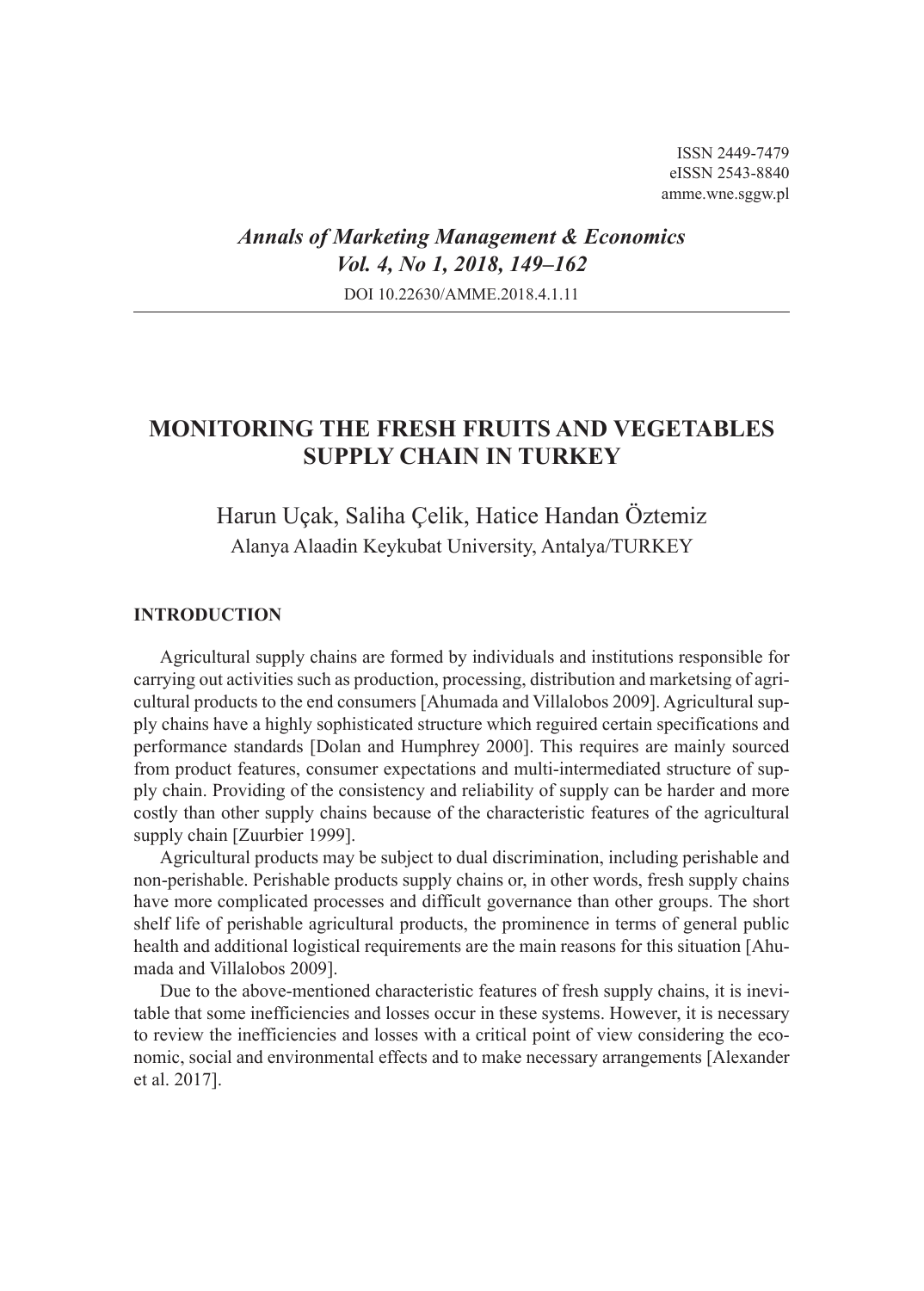# *Annals of Marketing Management & Economics Vol. 4, No 1, 2018, 149–162* DOI 10.22630/AMME.2018.4.1.11

# **MONITORING THE FRESH FRUITS AND VEGETABLES SUPPLY CHAIN IN TURKEY**

# Harun Uçak, Saliha Çelik, Hatice Handan Öztemiz Alanya Alaadin Keykubat University, Antalya/TURKEY

### **INTRODUCTION**

Agricultural supply chains are formed by individuals and institutions responsible for carrying out activities such as production, processing, distribution and marketsing of agricultural products to the end consumers [Ahumada and Villalobos 2009]. Agricultural supply chains have a highly sophisticated structure which reguired certain specifications and performance standards [Dolan and Humphrey 2000]. This requires are mainly sourced from product features, consumer expectations and multi-intermediated structure of supply chain. Providing of the consistency and reliability of supply can be harder and more costly than other supply chains because of the characteristic features of the agricultural supply chain [Zuurbier 1999].

Agricultural products may be subject to dual discrimination, including perishable and non-perishable. Perishable products supply chains or, in other words, fresh supply chains have more complicated processes and difficult governance than other groups. The short shelf life of perishable agricultural products, the prominence in terms of general public health and additional logistical requirements are the main reasons for this situation [Ahumada and Villalobos 2009].

Due to the above-mentioned characteristic features of fresh supply chains, it is inevitable that some inefficiencies and losses occur in these systems. However, it is necessary to review the inefficiencies and losses with a critical point of view considering the economic, social and environmental effects and to make necessary arrangements [Alexander et al. 2017].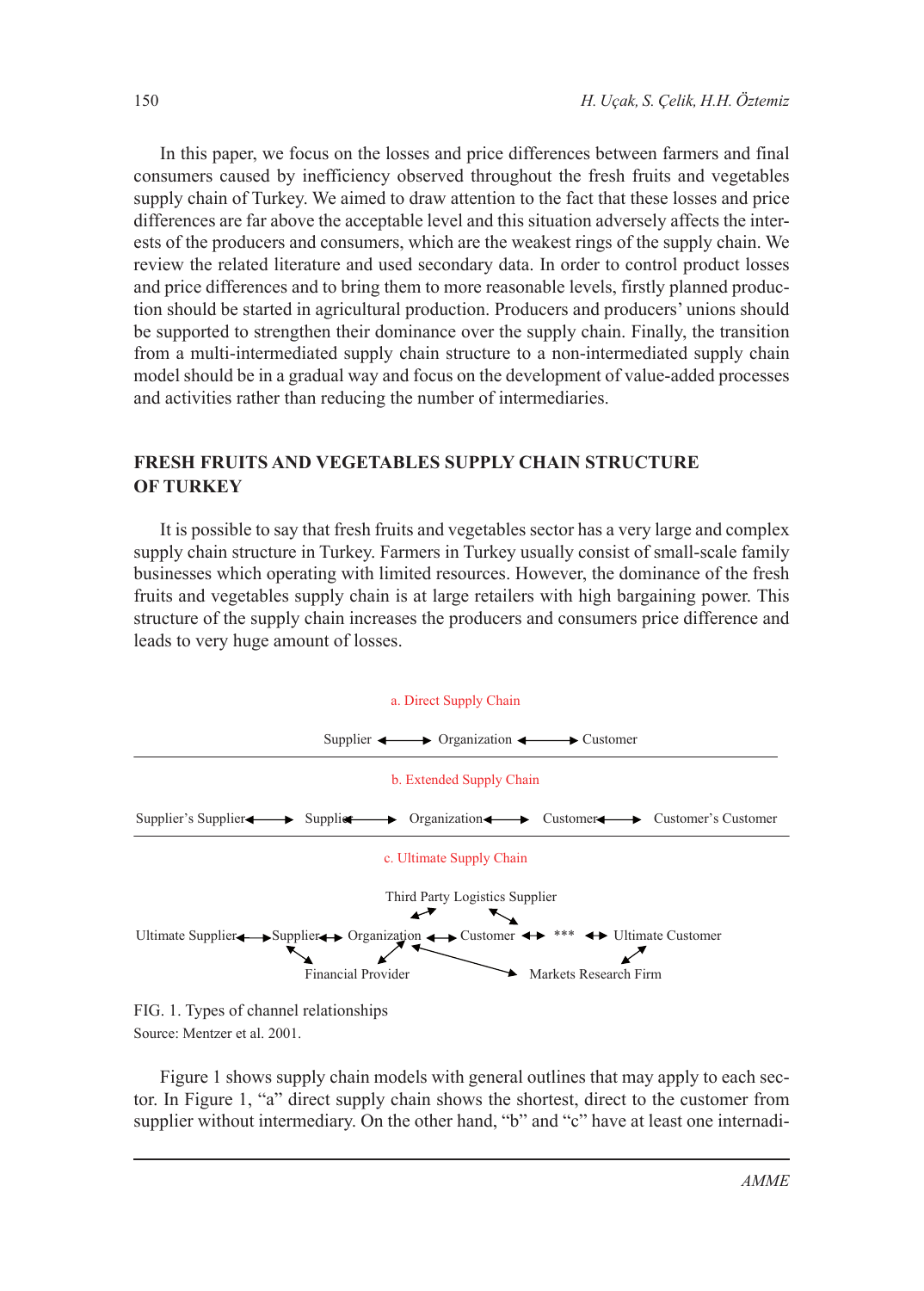In this paper, we focus on the losses and price differences between farmers and final consumers caused by inefficiency observed throughout the fresh fruits and vegetables supply chain of Turkey. We aimed to draw attention to the fact that these losses and price differences are far above the acceptable level and this situation adversely affects the interests of the producers and consumers, which are the weakest rings of the supply chain. We review the related literature and used secondary data. In order to control product losses and price differences and to bring them to more reasonable levels, firstly planned production should be started in agricultural production. Producers and producers' unions should be supported to strengthen their dominance over the supply chain. Finally, the transition from a multi-intermediated supply chain structure to a non-intermediated supply chain model should be in a gradual way and focus on the development of value-added processes and activities rather than reducing the number of intermediaries.

## **FRESH FRUITS AND VEGETABLES SUPPLY CHAIN STRUCTURE OF TURKEY**

It is possible to say that fresh fruits and vegetables sector has a very large and complex supply chain structure in Turkey. Farmers in Turkey usually consist of small-scale family businesses which operating with limited resources. However, the dominance of the fresh fruits and vegetables supply chain is at large retailers with high bargaining power. This structure of the supply chain increases the producers and consumers price difference and leads to very huge amount of losses.



Source: Mentzer et al. 2001.

Figure 1 shows supply chain models with general outlines that may apply to each sector. In Figure 1, "a" direct supply chain shows the shortest, direct to the customer from supplier without intermediary. On the other hand, "b" and "c" have at least one internadi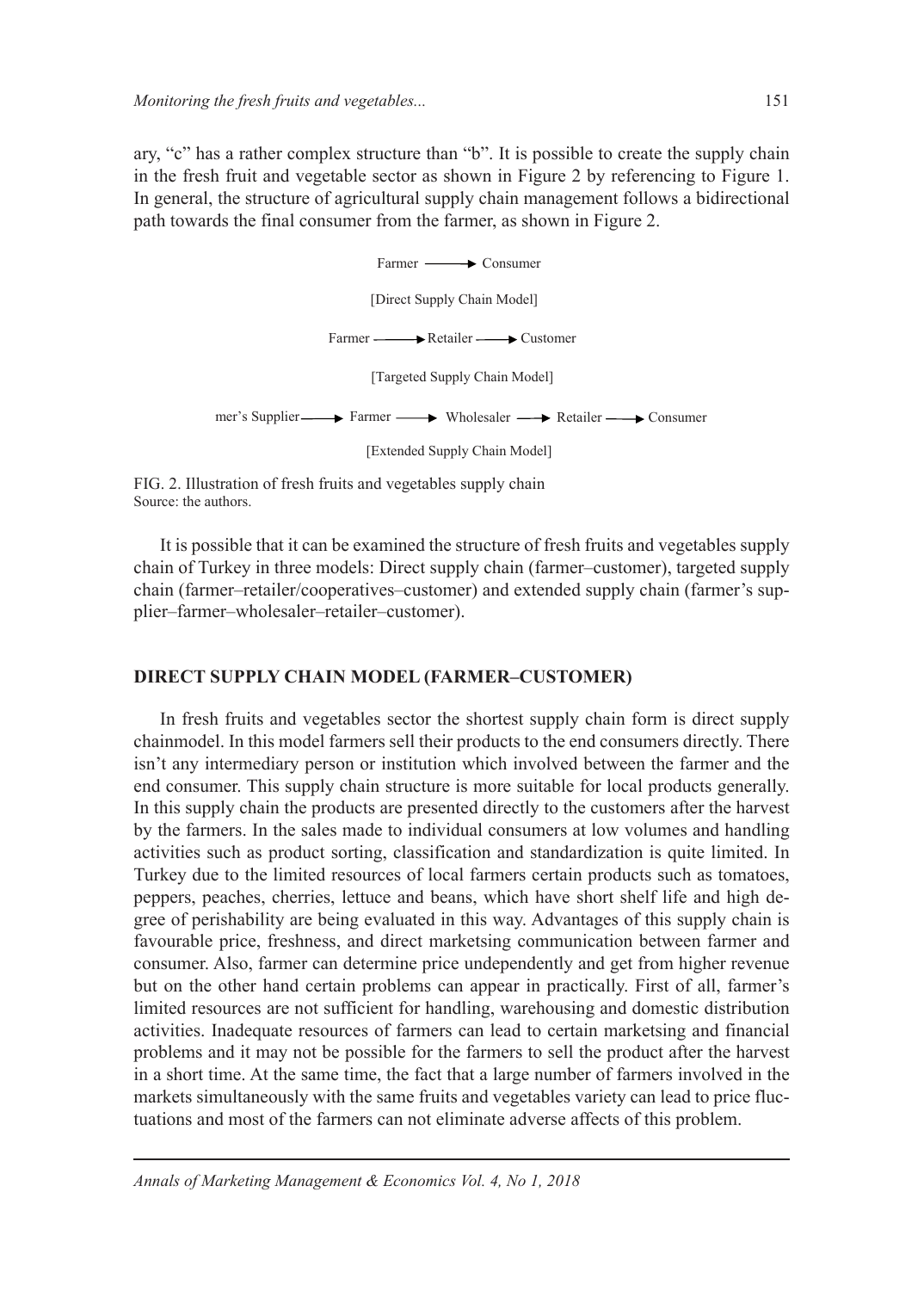ary, "c" has a rather complex structure than "b". It is possible to create the supply chain in the fresh fruit and vegetable sector as shown in Figure 2 by referencing to Figure 1. In general, the structure of agricultural supply chain management follows a bidirectional path towards the final consumer from the farmer, as shown in Figure 2.



FIG. 2. Illustration of fresh fruits and vegetables supply chain Source: the authors.

It is possible that it can be examined the structure of fresh fruits and vegetables supply chain of Turkey in three models: Direct supply chain (farmer–customer), targeted supply chain (farmer–retailer/cooperatives–customer) and extended supply chain (farmer's supplier–farmer–wholesaler–retailer–customer).

### **DIRECT SUPPLY CHAIN MODEL (FARMER–CUSTOMER)**

In fresh fruits and vegetables sector the shortest supply chain form is direct supply chainmodel. In this model farmers sell their products to the end consumers directly. There isn't any intermediary person or institution which involved between the farmer and the end consumer. This supply chain structure is more suitable for local products generally. In this supply chain the products are presented directly to the customers after the harvest by the farmers. In the sales made to individual consumers at low volumes and handling activities such as product sorting, classification and standardization is quite limited. In Turkey due to the limited resources of local farmers certain products such as tomatoes, peppers, peaches, cherries, lettuce and beans, which have short shelf life and high degree of perishability are being evaluated in this way. Advantages of this supply chain is favourable price, freshness, and direct marketsing communication between farmer and consumer. Also, farmer can determine price undependently and get from higher revenue but on the other hand certain problems can appear in practically. First of all, farmer's limited resources are not sufficient for handling, warehousing and domestic distribution activities. Inadequate resources of farmers can lead to certain marketsing and financial problems and it may not be possible for the farmers to sell the product after the harvest in a short time. At the same time, the fact that a large number of farmers involved in the markets simultaneously with the same fruits and vegetables variety can lead to price fluctuations and most of the farmers can not eliminate adverse affects of this problem.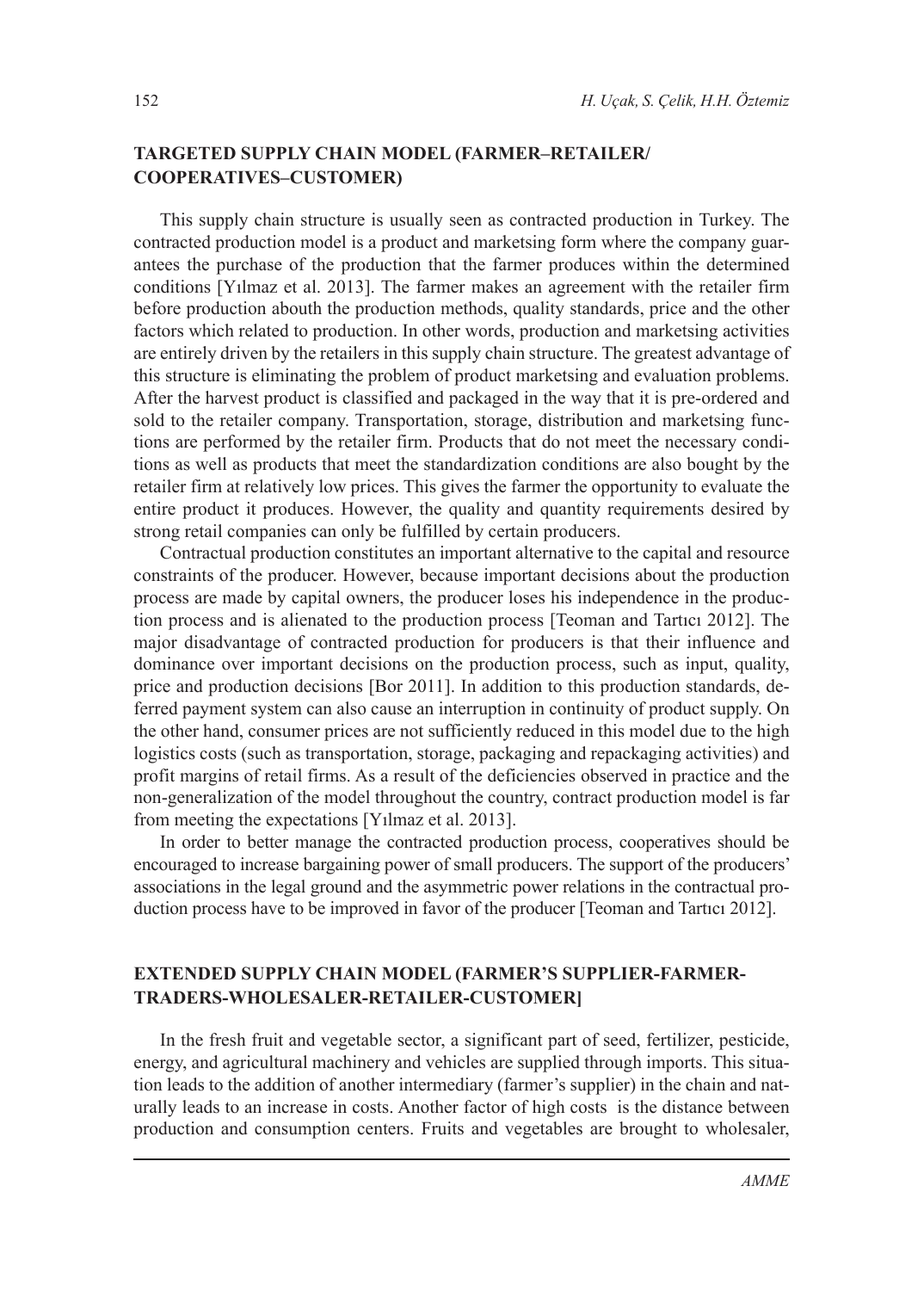## **TARGETED SUPPLY CHAIN MODEL (FARMER–RETAILER/ COOPERATIVES–CUSTOMER)**

This supply chain structure is usually seen as contracted production in Turkey. The contracted production model is a product and marketsing form where the company guarantees the purchase of the production that the farmer produces within the determined conditions [Yılmaz et al. 2013]. The farmer makes an agreement with the retailer firm before production abouth the production methods, quality standards, price and the other factors which related to production. In other words, production and marketsing activities are entirely driven by the retailers in this supply chain structure. The greatest advantage of this structure is eliminating the problem of product marketsing and evaluation problems. After the harvest product is classified and packaged in the way that it is pre-ordered and sold to the retailer company. Transportation, storage, distribution and marketsing functions are performed by the retailer firm. Products that do not meet the necessary conditions as well as products that meet the standardization conditions are also bought by the retailer firm at relatively low prices. This gives the farmer the opportunity to evaluate the entire product it produces. However, the quality and quantity requirements desired by strong retail companies can only be fulfilled by certain producers.

Contractual production constitutes an important alternative to the capital and resource constraints of the producer. However, because important decisions about the production process are made by capital owners, the producer loses his independence in the production process and is alienated to the production process [Teoman and Tartıcı 2012]. The major disadvantage of contracted production for producers is that their influence and dominance over important decisions on the production process, such as input, quality, price and production decisions [Bor 2011]. In addition to this production standards, deferred payment system can also cause an interruption in continuity of product supply. On the other hand, consumer prices are not sufficiently reduced in this model due to the high logistics costs (such as transportation, storage, packaging and repackaging activities) and profit margins of retail firms. As a result of the deficiencies observed in practice and the non-generalization of the model throughout the country, contract production model is far from meeting the expectations [Yılmaz et al. 2013].

In order to better manage the contracted production process, cooperatives should be encouraged to increase bargaining power of small producers. The support of the producers' associations in the legal ground and the asymmetric power relations in the contractual production process have to be improved in favor of the producer [Teoman and Tartıcı 2012].

## **EXTENDED SUPPLY CHAIN MODEL (FARMER'S SUPPLIER-FARMER-TRADERS-WHOLESALER-RETAILER-CUSTOMER]**

In the fresh fruit and vegetable sector, a significant part of seed, fertilizer, pesticide, energy, and agricultural machinery and vehicles are supplied through imports. This situation leads to the addition of another intermediary (farmer's supplier) in the chain and naturally leads to an increase in costs. Another factor of high costs is the distance between production and consumption centers. Fruits and vegetables are brought to wholesaler,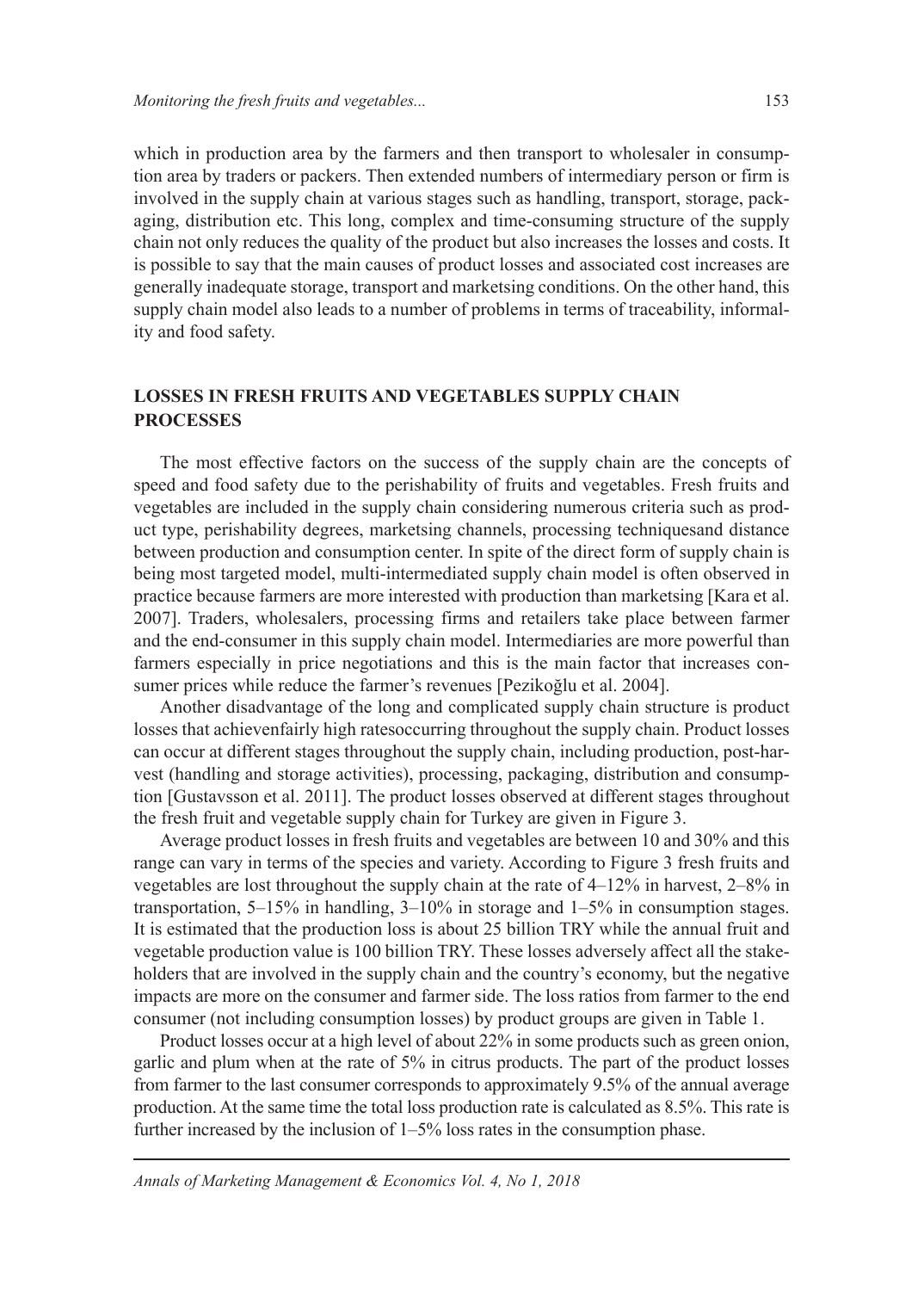which in production area by the farmers and then transport to wholesaler in consumption area by traders or packers. Then extended numbers of intermediary person or firm is involved in the supply chain at various stages such as handling, transport, storage, packaging, distribution etc. This long, complex and time-consuming structure of the supply chain not only reduces the quality of the product but also increases the losses and costs. It is possible to say that the main causes of product losses and associated cost increases are generally inadequate storage, transport and marketsing conditions. On the other hand, this supply chain model also leads to a number of problems in terms of traceability, informality and food safety.

## **LOSSES IN FRESH FRUITS AND VEGETABLES SUPPLY CHAIN PROCESSES**

The most effective factors on the success of the supply chain are the concepts of speed and food safety due to the perishability of fruits and vegetables. Fresh fruits and vegetables are included in the supply chain considering numerous criteria such as product type, perishability degrees, marketsing channels, processing techniquesand distance between production and consumption center. In spite of the direct form of supply chain is being most targeted model, multi-intermediated supply chain model is often observed in practice because farmers are more interested with production than marketsing [Kara et al. 2007]. Traders, wholesalers, processing firms and retailers take place between farmer and the end-consumer in this supply chain model. Intermediaries are more powerful than farmers especially in price negotiations and this is the main factor that increases consumer prices while reduce the farmer's revenues [Pezikoğlu et al. 2004].

Another disadvantage of the long and complicated supply chain structure is product losses that achievenfairly high ratesoccurring throughout the supply chain. Product losses can occur at different stages throughout the supply chain, including production, post-harvest (handling and storage activities), processing, packaging, distribution and consumption [Gustavsson et al. 2011]. The product losses observed at different stages throughout the fresh fruit and vegetable supply chain for Turkey are given in Figure 3.

Average product losses in fresh fruits and vegetables are between 10 and 30% and this range can vary in terms of the species and variety. According to Figure 3 fresh fruits and vegetables are lost throughout the supply chain at the rate of 4–12% in harvest, 2–8% in transportation, 5–15% in handling, 3–10% in storage and 1–5% in consumption stages. It is estimated that the production loss is about 25 billion TRY while the annual fruit and vegetable production value is 100 billion TRY. These losses adversely affect all the stakeholders that are involved in the supply chain and the country's economy, but the negative impacts are more on the consumer and farmer side. The loss ratios from farmer to the end consumer (not including consumption losses) by product groups are given in Table 1.

Product losses occur at a high level of about 22% in some products such as green onion, garlic and plum when at the rate of 5% in citrus products. The part of the product losses from farmer to the last consumer corresponds to approximately 9.5% of the annual average production. At the same time the total loss production rate is calculated as 8.5%. This rate is further increased by the inclusion of 1–5% loss rates in the consumption phase.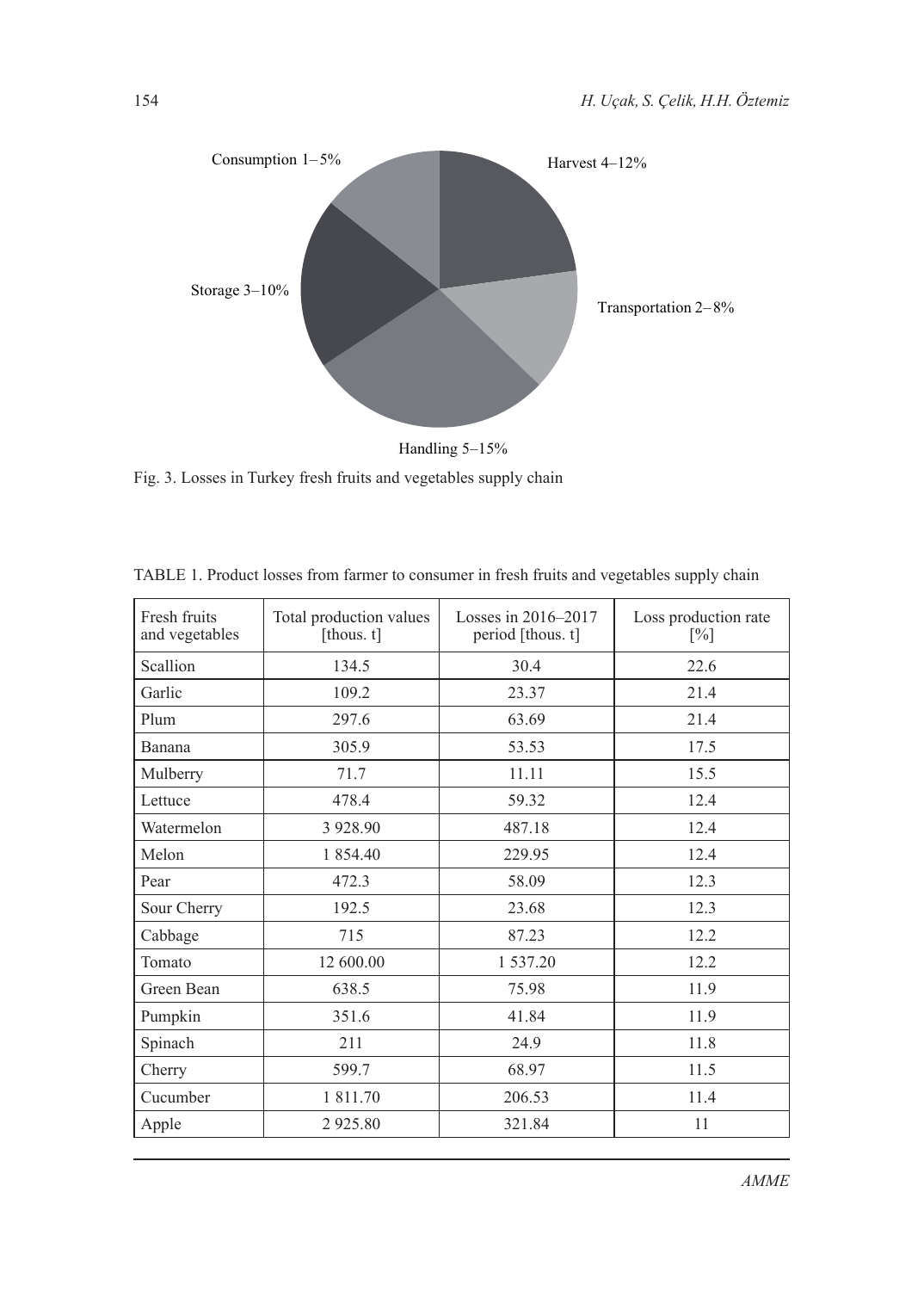

Handling 5–15%

Fig. 3. Losses in Turkey fresh fruits and vegetables supply chain

| Fresh fruits<br>and vegetables | Total production values<br>[thous. t] | Losses in 2016–2017<br>period [thous. t] | Loss production rate<br>[%] |  |
|--------------------------------|---------------------------------------|------------------------------------------|-----------------------------|--|
| Scallion                       | 134.5                                 | 30.4                                     | 22.6                        |  |
| Garlic                         | 109.2                                 | 23.37                                    | 21.4                        |  |
| Plum                           | 297.6                                 | 63.69                                    | 21.4                        |  |
| <b>Banana</b>                  | 305.9                                 | 53.53                                    | 17.5                        |  |
| Mulberry                       | 71.7                                  | 11.11                                    | 15.5                        |  |
| Lettuce                        | 478.4                                 | 59.32                                    | 12.4                        |  |
| Watermelon                     | 3 9 28.90                             | 487.18                                   | 12.4                        |  |
| Melon                          | 1 854.40                              | 229.95                                   | 12.4                        |  |
| Pear                           | 472.3                                 | 58.09                                    | 12.3                        |  |
| Sour Cherry                    | 192.5                                 | 23.68                                    | 12.3                        |  |
| Cabbage                        | 715                                   | 87.23                                    | 12.2                        |  |
| Tomato                         | 12 600.00                             | 1 537.20                                 | 12.2                        |  |
| Green Bean                     | 638.5                                 | 75.98                                    | 11.9                        |  |
| Pumpkin                        | 351.6                                 | 41.84                                    | 11.9                        |  |
| Spinach                        | 211                                   | 24.9                                     | 11.8                        |  |
| Cherry                         | 599.7                                 | 68.97                                    | 11.5                        |  |
| Cucumber                       | 1 811.70                              | 206.53                                   | 11.4                        |  |
| Apple                          | 2925.80                               | 321.84                                   | 11                          |  |

TABLE 1. Product losses from farmer to consumer in fresh fruits and vegetables supply chain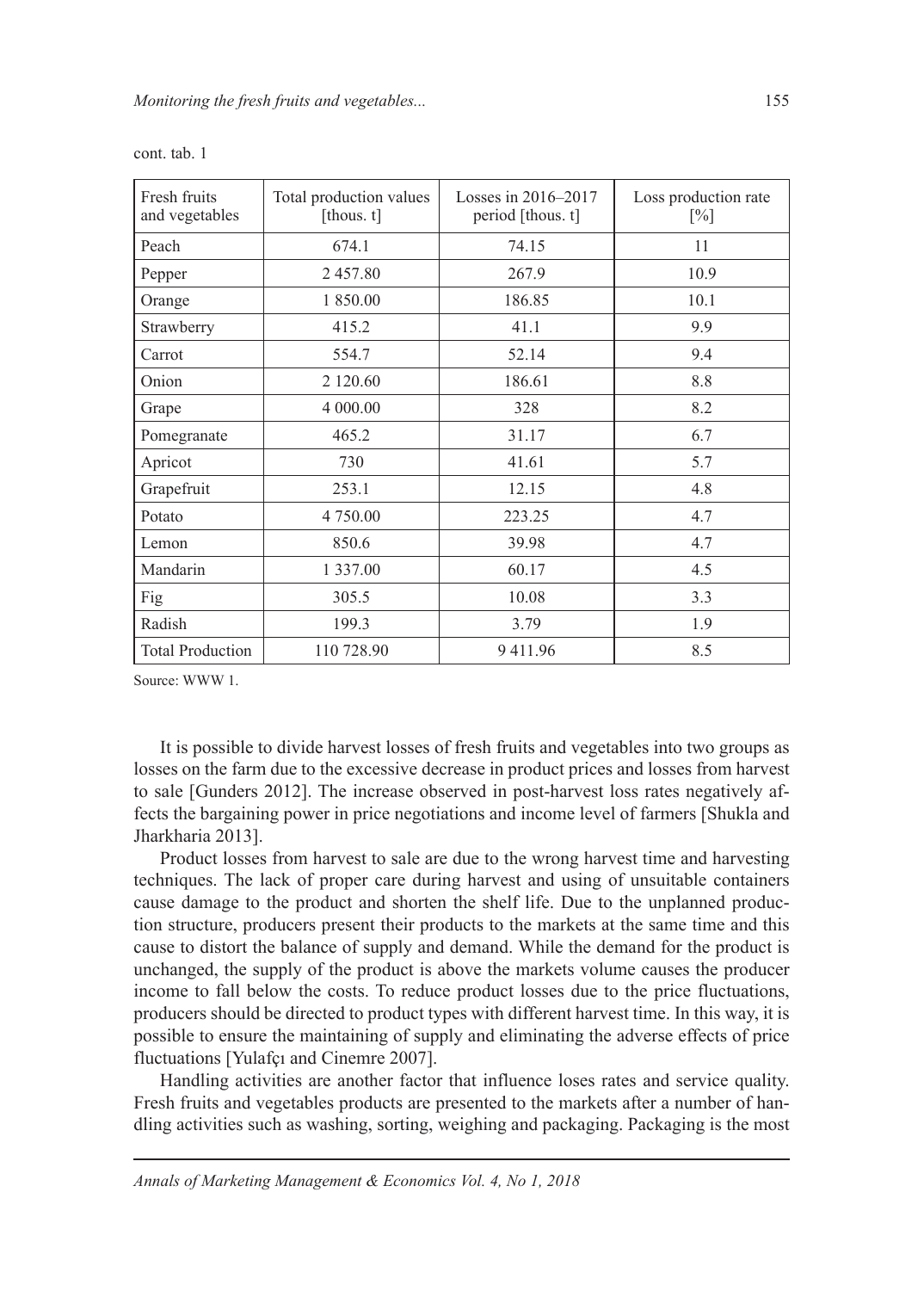| Fresh fruits<br>and vegetables | Total production values<br>[thous. $t$ ] | Losses in 2016–2017<br>period [thous. t] | Loss production rate<br>$\lceil\% \rceil$ |  |
|--------------------------------|------------------------------------------|------------------------------------------|-------------------------------------------|--|
| Peach                          | 674.1                                    | 74.15                                    | 11                                        |  |
| Pepper                         | 2457.80                                  | 267.9                                    | 10.9                                      |  |
| Orange                         | 1 850.00                                 | 186.85                                   | 10.1                                      |  |
| Strawberry                     | 415.2                                    | 41.1                                     | 9.9                                       |  |
| Carrot                         | 554.7                                    | 52.14                                    | 9.4                                       |  |
| Onion                          | 2 120.60                                 | 186.61                                   | 8.8                                       |  |
| Grape                          | 4 000.00                                 | 328                                      | 8.2                                       |  |
| Pomegranate                    | 465.2                                    | 31.17                                    | 6.7                                       |  |
| Apricot                        | 730                                      | 41.61                                    | 5.7                                       |  |
| Grapefruit                     | 253.1                                    | 12.15                                    | 4.8                                       |  |
| Potato                         | 4 750.00                                 | 223.25                                   | 4.7                                       |  |
| Lemon                          | 850.6                                    | 39.98                                    | 4.7                                       |  |
| Mandarin                       | 1 3 3 7 .00                              | 60.17                                    | 4.5                                       |  |
| Fig                            | 305.5                                    | 10.08                                    | 3.3                                       |  |
| Radish                         | 199.3                                    | 3.79                                     | 1.9                                       |  |
| <b>Total Production</b>        | 110 728.90                               | 9411.96                                  | 8.5                                       |  |

cont. tab. 1

Source: WWW 1.

It is possible to divide harvest losses of fresh fruits and vegetables into two groups as losses on the farm due to the excessive decrease in product prices and losses from harvest to sale [Gunders 2012]. The increase observed in post-harvest loss rates negatively affects the bargaining power in price negotiations and income level of farmers [Shukla and Jharkharia 2013].

Product losses from harvest to sale are due to the wrong harvest time and harvesting techniques. The lack of proper care during harvest and using of unsuitable containers cause damage to the product and shorten the shelf life. Due to the unplanned production structure, producers present their products to the markets at the same time and this cause to distort the balance of supply and demand. While the demand for the product is unchanged, the supply of the product is above the markets volume causes the producer income to fall below the costs. To reduce product losses due to the price fluctuations, producers should be directed to product types with different harvest time. In this way, it is possible to ensure the maintaining of supply and eliminating the adverse effects of price fluctuations [Yulafçı and Cinemre 2007].

Handling activities are another factor that influence loses rates and service quality. Fresh fruits and vegetables products are presented to the markets after a number of handling activities such as washing, sorting, weighing and packaging. Packaging is the most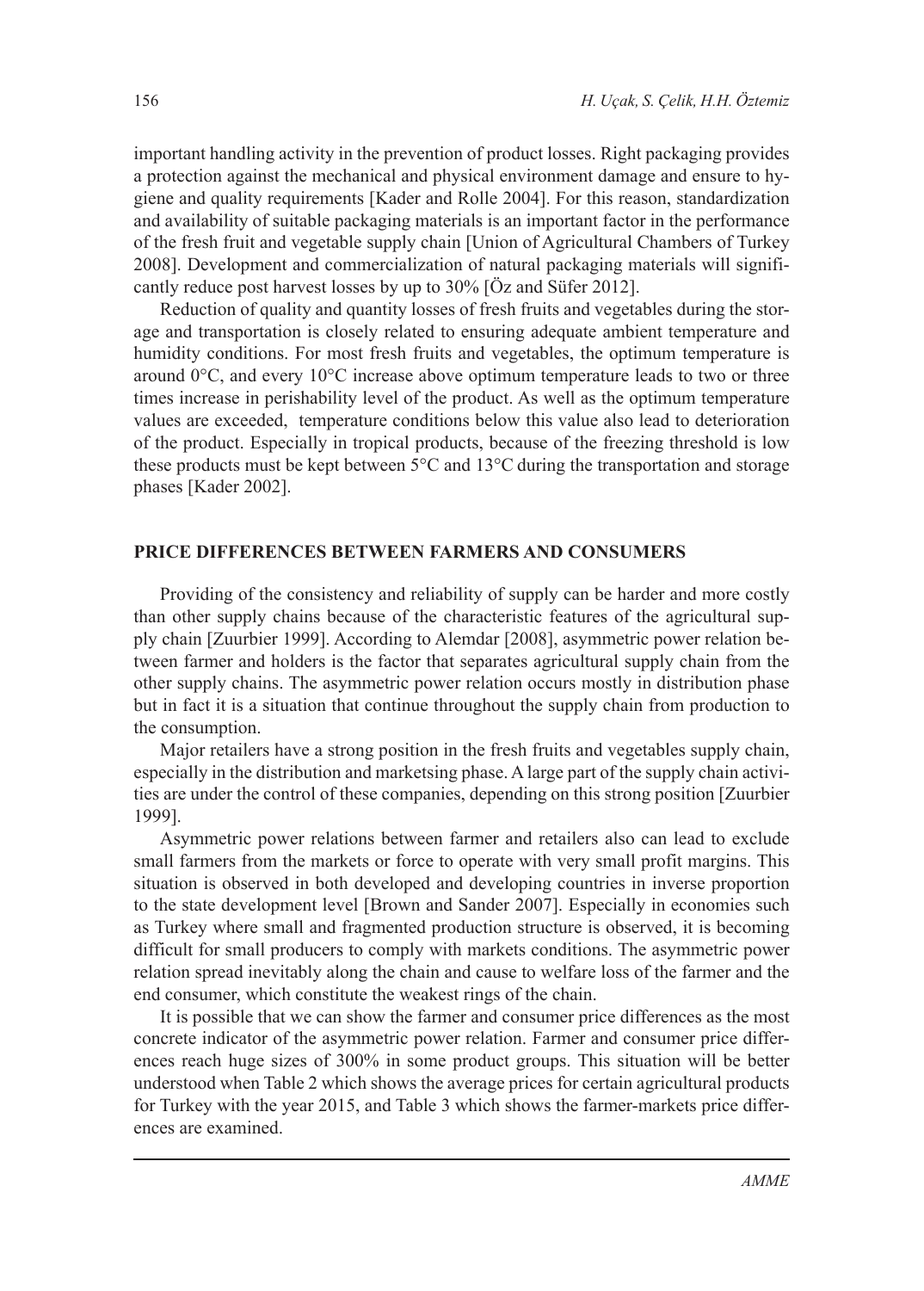important handling activity in the prevention of product losses. Right packaging provides a protection against the mechanical and physical environment damage and ensure to hygiene and quality requirements [Kader and Rolle 2004]. For this reason, standardization and availability of suitable packaging materials is an important factor in the performance of the fresh fruit and vegetable supply chain [Union of Agricultural Chambers of Turkey 2008]. Development and commercialization of natural packaging materials will significantly reduce post harvest losses by up to 30% [Öz and Süfer 2012].

Reduction of quality and quantity losses of fresh fruits and vegetables during the storage and transportation is closely related to ensuring adequate ambient temperature and humidity conditions. For most fresh fruits and vegetables, the optimum temperature is around 0°C, and every 10°C increase above optimum temperature leads to two or three times increase in perishability level of the product. As well as the optimum temperature values are exceeded, temperature conditions below this value also lead to deterioration of the product. Especially in tropical products, because of the freezing threshold is low these products must be kept between 5°C and 13°C during the transportation and storage phases [Kader 2002].

### **PRICE DIFFERENCES BETWEEN FARMERS AND CONSUMERS**

Providing of the consistency and reliability of supply can be harder and more costly than other supply chains because of the characteristic features of the agricultural supply chain [Zuurbier 1999]. According to Alemdar [2008], asymmetric power relation between farmer and holders is the factor that separates agricultural supply chain from the other supply chains. The asymmetric power relation occurs mostly in distribution phase but in fact it is a situation that continue throughout the supply chain from production to the consumption.

Major retailers have a strong position in the fresh fruits and vegetables supply chain, especially in the distribution and marketsing phase. A large part of the supply chain activities are under the control of these companies, depending on this strong position [Zuurbier 1999].

Asymmetric power relations between farmer and retailers also can lead to exclude small farmers from the markets or force to operate with very small profit margins. This situation is observed in both developed and developing countries in inverse proportion to the state development level [Brown and Sander 2007]. Especially in economies such as Turkey where small and fragmented production structure is observed, it is becoming difficult for small producers to comply with markets conditions. The asymmetric power relation spread inevitably along the chain and cause to welfare loss of the farmer and the end consumer, which constitute the weakest rings of the chain.

It is possible that we can show the farmer and consumer price differences as the most concrete indicator of the asymmetric power relation. Farmer and consumer price differences reach huge sizes of 300% in some product groups. This situation will be better understood when Table 2 which shows the average prices for certain agricultural products for Turkey with the year 2015, and Table 3 which shows the farmer-markets price differences are examined.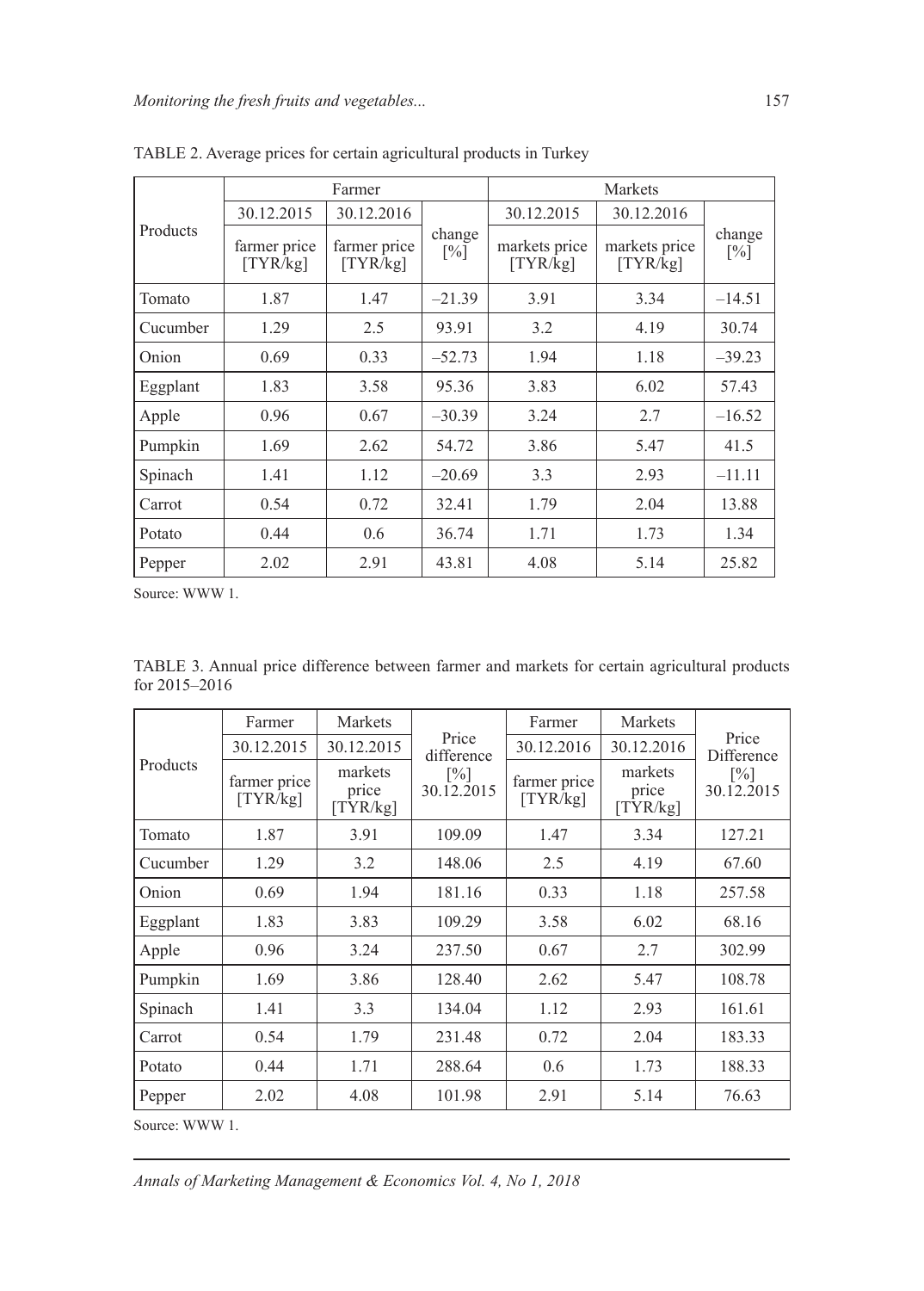| Products | Farmer                   |                          |                             | Markets                   |                           |                             |
|----------|--------------------------|--------------------------|-----------------------------|---------------------------|---------------------------|-----------------------------|
|          | 30.12.2015               | 30.12.2016               | change<br>$\lceil\% \rceil$ | 30.12.2015                | 30.12.2016                | change<br>$\lceil\% \rceil$ |
|          | farmer price<br>[TYR/kg] | farmer price<br>[TYR/kg] |                             | markets price<br>[TYR/kg] | markets price<br>[TYR/kg] |                             |
| Tomato   | 1.87                     | 1.47                     | $-21.39$                    | 3.91                      | 3.34                      | $-14.51$                    |
| Cucumber | 1.29                     | 2.5                      | 93.91                       | 3.2                       | 4.19                      | 30.74                       |
| Onion    | 0.69                     | 0.33                     | $-52.73$                    | 1.94                      | 1.18                      | $-39.23$                    |
| Eggplant | 1.83                     | 3.58                     | 95.36                       | 3.83                      | 6.02                      | 57.43                       |
| Apple    | 0.96                     | 0.67                     | $-30.39$                    | 3.24                      | 2.7                       | $-16.52$                    |
| Pumpkin  | 1.69                     | 2.62                     | 54.72                       | 3.86                      | 5.47                      | 41.5                        |
| Spinach  | 1.41                     | 1.12                     | $-20.69$                    | 3.3                       | 2.93                      | $-11.11$                    |
| Carrot   | 0.54                     | 0.72                     | 32.41                       | 1.79                      | 2.04                      | 13.88                       |
| Potato   | 0.44                     | 0.6                      | 36.74                       | 1.71                      | 1.73                      | 1.34                        |
| Pepper   | 2.02                     | 2.91                     | 43.81                       | 4.08                      | 5.14                      | 25.82                       |

TABLE 2. Average prices for certain agricultural products in Turkey

Source: WWW 1.

TABLE 3. Annual price difference between farmer and markets for certain agricultural products for 2015–2016

| Products | Farmer                   | Markets                      | Price<br>difference<br>$\lceil\% \rceil$<br>30.12.2015 | Farmer                   | Markets                      | Price<br>Difference<br>$\lceil\% \rceil$<br>30.12.2015 |
|----------|--------------------------|------------------------------|--------------------------------------------------------|--------------------------|------------------------------|--------------------------------------------------------|
|          | 30.12.2015               | 30.12.2015                   |                                                        | 30.12.2016               | 30.12.2016                   |                                                        |
|          | farmer price<br>[TYR/kg] | markets<br>price<br>[TYR/kg] |                                                        | farmer price<br>[TYR/kg] | markets<br>price<br>[TYR/kg] |                                                        |
| Tomato   | 1.87                     | 3.91                         | 109.09                                                 | 1.47                     | 3.34                         | 127.21                                                 |
| Cucumber | 1.29                     | 3.2                          | 148.06                                                 | 2.5                      | 4.19                         | 67.60                                                  |
| Onion    | 0.69                     | 1.94                         | 181.16                                                 | 0.33                     | 1.18                         | 257.58                                                 |
| Eggplant | 1.83                     | 3.83                         | 109.29                                                 | 3.58                     | 6.02                         | 68.16                                                  |
| Apple    | 0.96                     | 3.24                         | 237.50                                                 | 0.67                     | 2.7                          | 302.99                                                 |
| Pumpkin  | 1.69                     | 3.86                         | 128.40                                                 | 2.62                     | 5.47                         | 108.78                                                 |
| Spinach  | 1.41                     | 3.3                          | 134.04                                                 | 1.12                     | 2.93                         | 161.61                                                 |
| Carrot   | 0.54                     | 1.79                         | 231.48                                                 | 0.72                     | 2.04                         | 183.33                                                 |
| Potato   | 0.44                     | 1.71                         | 288.64                                                 | 0.6                      | 1.73                         | 188.33                                                 |
| Pepper   | 2.02                     | 4.08                         | 101.98                                                 | 2.91                     | 5.14                         | 76.63                                                  |

Source: WWW 1.

*Annals of Marketing Management & Economics Vol. 4, No 1, 2018*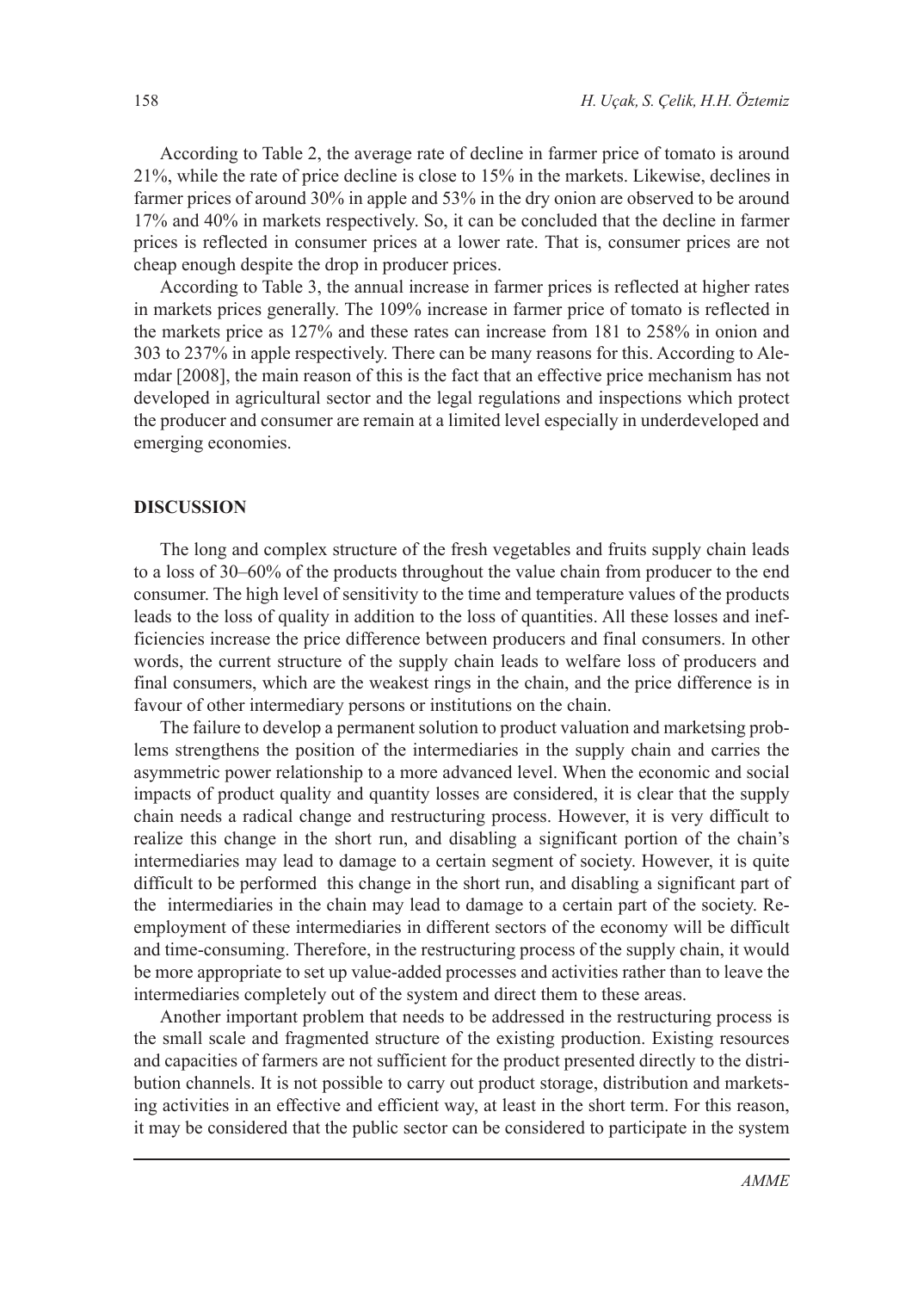According to Table 2, the average rate of decline in farmer price of tomato is around 21%, while the rate of price decline is close to 15% in the markets. Likewise, declines in farmer prices of around 30% in apple and 53% in the dry onion are observed to be around 17% and 40% in markets respectively. So, it can be concluded that the decline in farmer prices is reflected in consumer prices at a lower rate. That is, consumer prices are not cheap enough despite the drop in producer prices.

According to Table 3, the annual increase in farmer prices is reflected at higher rates in markets prices generally. The 109% increase in farmer price of tomato is reflected in the markets price as 127% and these rates can increase from 181 to 258% in onion and 303 to 237% in apple respectively. There can be many reasons for this. According to Alemdar [2008], the main reason of this is the fact that an effective price mechanism has not developed in agricultural sector and the legal regulations and inspections which protect the producer and consumer are remain at a limited level especially in underdeveloped and emerging economies.

#### **DISCUSSION**

The long and complex structure of the fresh vegetables and fruits supply chain leads to a loss of 30–60% of the products throughout the value chain from producer to the end consumer. The high level of sensitivity to the time and temperature values of the products leads to the loss of quality in addition to the loss of quantities. All these losses and inefficiencies increase the price difference between producers and final consumers. In other words, the current structure of the supply chain leads to welfare loss of producers and final consumers, which are the weakest rings in the chain, and the price difference is in favour of other intermediary persons or institutions on the chain.

The failure to develop a permanent solution to product valuation and marketsing problems strengthens the position of the intermediaries in the supply chain and carries the asymmetric power relationship to a more advanced level. When the economic and social impacts of product quality and quantity losses are considered, it is clear that the supply chain needs a radical change and restructuring process. However, it is very difficult to realize this change in the short run, and disabling a significant portion of the chain's intermediaries may lead to damage to a certain segment of society. However, it is quite difficult to be performed this change in the short run, and disabling a significant part of the intermediaries in the chain may lead to damage to a certain part of the society. Reemployment of these intermediaries in different sectors of the economy will be difficult and time-consuming. Therefore, in the restructuring process of the supply chain, it would be more appropriate to set up value-added processes and activities rather than to leave the intermediaries completely out of the system and direct them to these areas.

Another important problem that needs to be addressed in the restructuring process is the small scale and fragmented structure of the existing production. Existing resources and capacities of farmers are not sufficient for the product presented directly to the distribution channels. It is not possible to carry out product storage, distribution and marketsing activities in an effective and efficient way, at least in the short term. For this reason, it may be considered that the public sector can be considered to participate in the system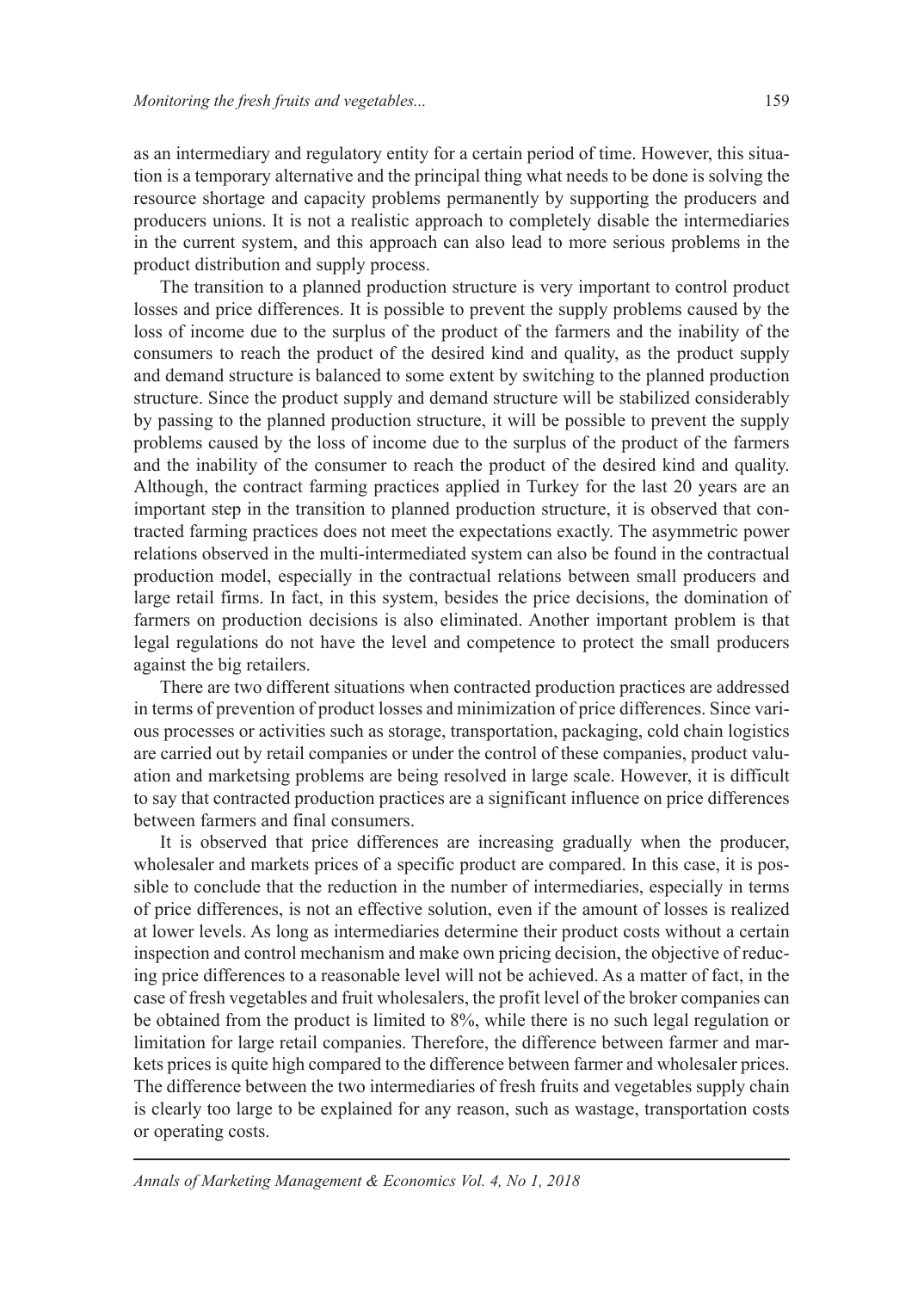as an intermediary and regulatory entity for a certain period of time. However, this situation is a temporary alternative and the principal thing what needs to be done is solving the resource shortage and capacity problems permanently by supporting the producers and producers unions. It is not a realistic approach to completely disable the intermediaries in the current system, and this approach can also lead to more serious problems in the product distribution and supply process.

The transition to a planned production structure is very important to control product losses and price differences. It is possible to prevent the supply problems caused by the loss of income due to the surplus of the product of the farmers and the inability of the consumers to reach the product of the desired kind and quality, as the product supply and demand structure is balanced to some extent by switching to the planned production structure. Since the product supply and demand structure will be stabilized considerably by passing to the planned production structure, it will be possible to prevent the supply problems caused by the loss of income due to the surplus of the product of the farmers and the inability of the consumer to reach the product of the desired kind and quality. Although, the contract farming practices applied in Turkey for the last 20 years are an important step in the transition to planned production structure, it is observed that contracted farming practices does not meet the expectations exactly. The asymmetric power relations observed in the multi-intermediated system can also be found in the contractual production model, especially in the contractual relations between small producers and large retail firms. In fact, in this system, besides the price decisions, the domination of farmers on production decisions is also eliminated. Another important problem is that legal regulations do not have the level and competence to protect the small producers against the big retailers.

There are two different situations when contracted production practices are addressed in terms of prevention of product losses and minimization of price differences. Since various processes or activities such as storage, transportation, packaging, cold chain logistics are carried out by retail companies or under the control of these companies, product valuation and marketsing problems are being resolved in large scale. However, it is difficult to say that contracted production practices are a significant influence on price differences between farmers and final consumers.

It is observed that price differences are increasing gradually when the producer, wholesaler and markets prices of a specific product are compared. In this case, it is possible to conclude that the reduction in the number of intermediaries, especially in terms of price differences, is not an effective solution, even if the amount of losses is realized at lower levels. As long as intermediaries determine their product costs without a certain inspection and control mechanism and make own pricing decision, the objective of reducing price differences to a reasonable level will not be achieved. As a matter of fact, in the case of fresh vegetables and fruit wholesalers, the profit level of the broker companies can be obtained from the product is limited to 8%, while there is no such legal regulation or limitation for large retail companies. Therefore, the difference between farmer and markets prices is quite high compared to the difference between farmer and wholesaler prices. The difference between the two intermediaries of fresh fruits and vegetables supply chain is clearly too large to be explained for any reason, such as wastage, transportation costs or operating costs.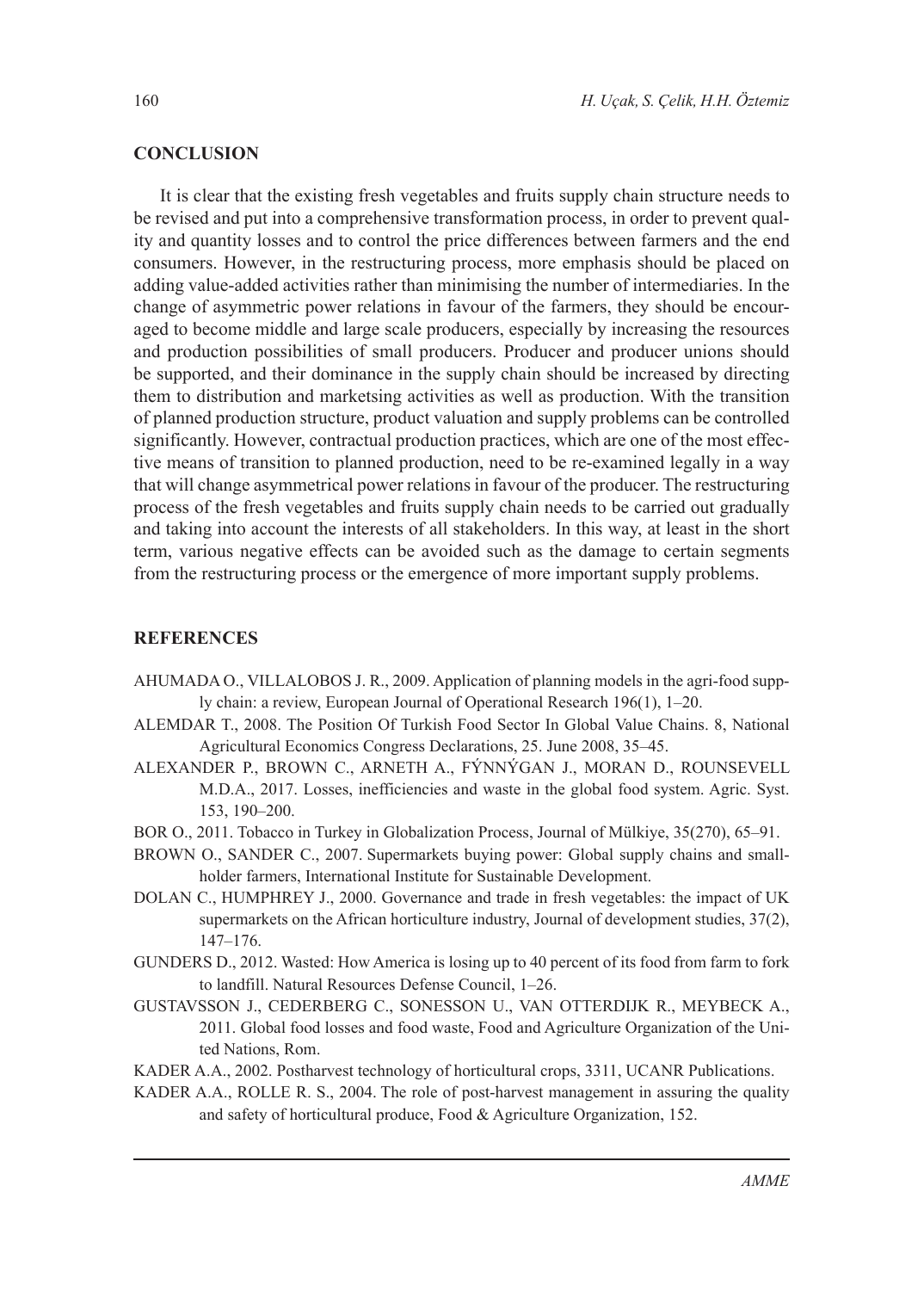### **CONCLUSION**

It is clear that the existing fresh vegetables and fruits supply chain structure needs to be revised and put into a comprehensive transformation process, in order to prevent quality and quantity losses and to control the price differences between farmers and the end consumers. However, in the restructuring process, more emphasis should be placed on adding value-added activities rather than minimising the number of intermediaries. In the change of asymmetric power relations in favour of the farmers, they should be encouraged to become middle and large scale producers, especially by increasing the resources and production possibilities of small producers. Producer and producer unions should be supported, and their dominance in the supply chain should be increased by directing them to distribution and marketsing activities as well as production. With the transition of planned production structure, product valuation and supply problems can be controlled significantly. However, contractual production practices, which are one of the most effective means of transition to planned production, need to be re-examined legally in a way that will change asymmetrical power relations in favour of the producer. The restructuring process of the fresh vegetables and fruits supply chain needs to be carried out gradually and taking into account the interests of all stakeholders. In this way, at least in the short term, various negative effects can be avoided such as the damage to certain segments from the restructuring process or the emergence of more important supply problems.

### **REFERENCES**

- AHUMADA O., VILLALOBOS J. R., 2009. Application of planning models in the agri-food supply chain: a review, European Journal of Operational Research 196(1), 1–20.
- ALEMDAR T., 2008. The Position Of Turkish Food Sector In Global Value Chains. 8, National Agricultural Economics Congress Declarations, 25. June 2008, 35–45.
- ALEXANDER P., BROWN C., ARNETH A., FÝNNÝGAN J., MORAN D., ROUNSEVELL M.D.A., 2017. Losses, inefficiencies and waste in the global food system. Agric. Syst. 153, 190–200.
- BOR O., 2011. Tobacco in Turkey in Globalization Process, Journal of Mülkiye, 35(270), 65–91.
- BROWN O., SANDER C., 2007. Supermarkets buying power: Global supply chains and smallholder farmers, International Institute for Sustainable Development.
- DOLAN C., HUMPHREY J., 2000. Governance and trade in fresh vegetables: the impact of UK supermarkets on the African horticulture industry, Journal of development studies, 37(2), 147–176.
- GUNDERS D., 2012. Wasted: How America is losing up to 40 percent of its food from farm to fork to landfill. Natural Resources Defense Council, 1–26.
- GUSTAVSSON J., CEDERBERG C., SONESSON U., VAN OTTERDIJK R., MEYBECK A., 2011. Global food losses and food waste, Food and Agriculture Organization of the United Nations, Rom.
- KADER A.A., 2002. Postharvest technology of horticultural crops, 3311, UCANR Publications.
- KADER A.A., ROLLE R. S., 2004. The role of post-harvest management in assuring the quality and safety of horticultural produce, Food & Agriculture Organization, 152.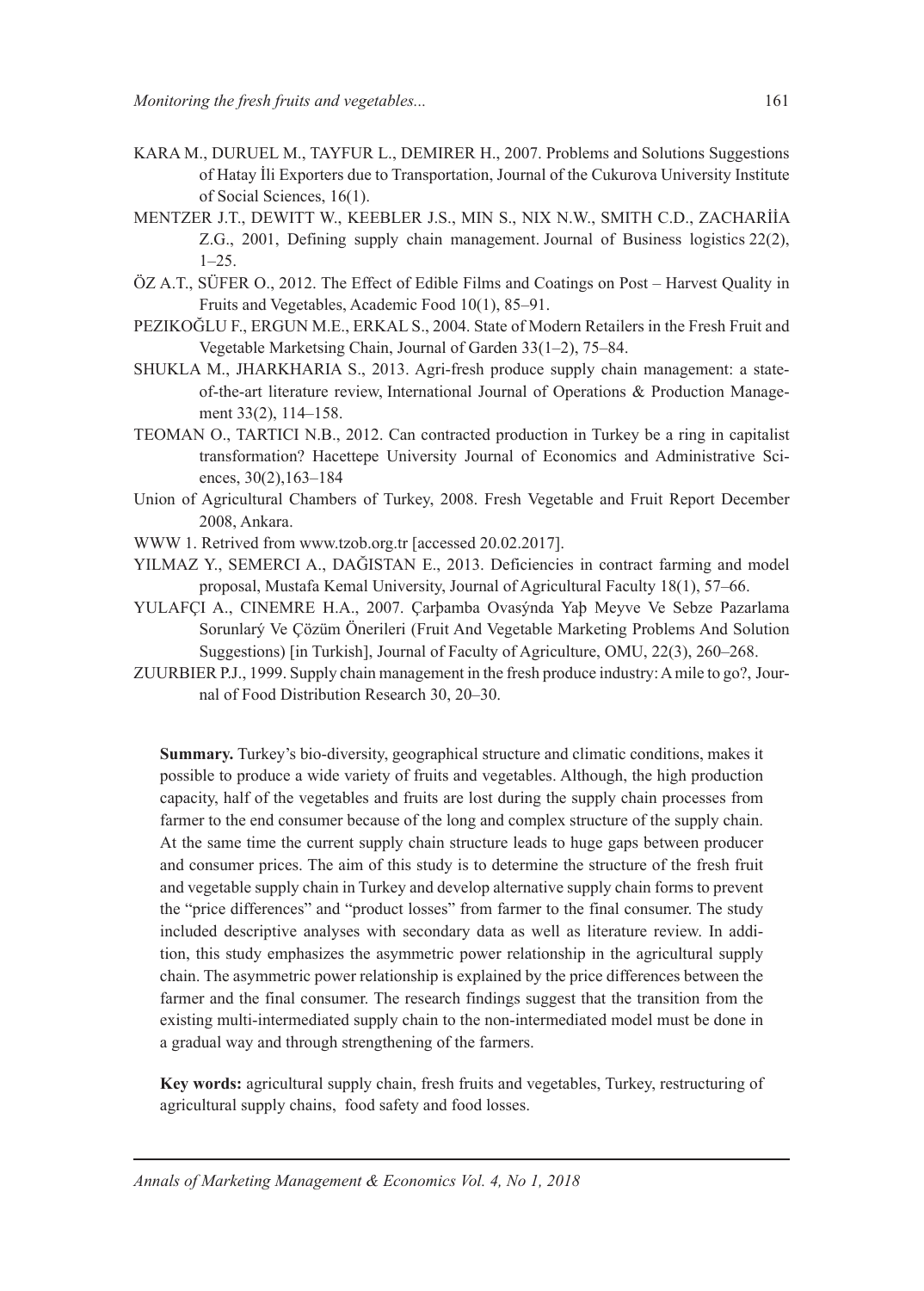- KARA M., DURUEL M., TAYFUR L., DEMIRER H., 2007. Problems and Solutions Suggestions of Hatay İli Exporters due to Transportation, Journal of the Cukurova University Institute of Social Sciences, 16(1).
- MENTZER J.T., DEWITT W., KEEBLER J.S., MIN S., NIX N.W., SMITH C.D., ZACHARİİA Z.G., 2001, Defining supply chain management. Journal of Business logistics 22(2), 1–25.
- ÖZ A.T., SÜFER O., 2012. The Effect of Edible Films and Coatings on Post Harvest Quality in Fruits and Vegetables, Academic Food 10(1), 85–91.
- PEZIKOĞLU F., ERGUN M.E., ERKAL S., 2004. State of Modern Retailers in the Fresh Fruit and Vegetable Marketsing Chain, Journal of Garden 33(1–2), 75–84.
- SHUKLA M., JHARKHARIA S., 2013. Agri-fresh produce supply chain management: a stateof-the-art literature review, International Journal of Operations & Production Management 33(2), 114–158.
- TEOMAN O., TARTICI N.B., 2012. Can contracted production in Turkey be a ring in capitalist transformation? Hacettepe University Journal of Economics and Administrative Sciences, 30(2),163–184
- Union of Agricultural Chambers of Turkey, 2008. Fresh Vegetable and Fruit Report December 2008, Ankara.
- WWW 1. Retrived from www.tzob.org.tr [accessed 20.02.2017].
- YILMAZ Y., SEMERCI A., DAĞISTAN E., 2013. Deficiencies in contract farming and model proposal, Mustafa Kemal University, Journal of Agricultural Faculty 18(1), 57–66.
- YULAFÇI A., CINEMRE H.A., 2007. Çarþamba Ovasýnda Yaþ Meyve Ve Sebze Pazarlama Sorunlarý Ve Çözüm Önerileri (Fruit And Vegetable Marketing Problems And Solution Suggestions) [in Turkish], Journal of Faculty of Agriculture, OMU, 22(3), 260–268.
- ZUURBIER P.J., 1999. Supply chain management in the fresh produce industry: A mile to go?, Journal of Food Distribution Research 30, 20–30.

**Summary.** Turkey's bio-diversity, geographical structure and climatic conditions, makes it possible to produce a wide variety of fruits and vegetables. Although, the high production capacity, half of the vegetables and fruits are lost during the supply chain processes from farmer to the end consumer because of the long and complex structure of the supply chain. At the same time the current supply chain structure leads to huge gaps between producer and consumer prices. The aim of this study is to determine the structure of the fresh fruit and vegetable supply chain in Turkey and develop alternative supply chain forms to prevent the "price differences" and "product losses" from farmer to the final consumer. The study included descriptive analyses with secondary data as well as literature review. In addition, this study emphasizes the asymmetric power relationship in the agricultural supply chain. The asymmetric power relationship is explained by the price differences between the farmer and the final consumer. The research findings suggest that the transition from the existing multi-intermediated supply chain to the non-intermediated model must be done in a gradual way and through strengthening of the farmers.

**Key words:** agricultural supply chain, fresh fruits and vegetables, Turkey, restructuring of agricultural supply chains, food safety and food losses.